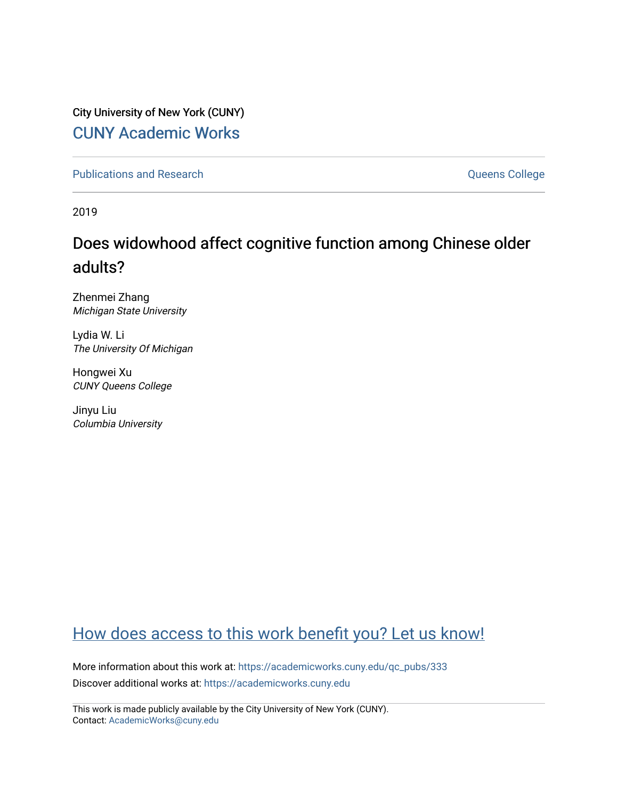City University of New York (CUNY) [CUNY Academic Works](https://academicworks.cuny.edu/) 

[Publications and Research](https://academicworks.cuny.edu/qc_pubs) **College** College and Theorem and Theorem and Theorem and Theorem and Theorem and Theorem and Theorem and Theorem and Theorem and Theorem and Theorem and Theorem and Theorem and Theorem and Theore

2019

# Does widowhood affect cognitive function among Chinese older adults?

Zhenmei Zhang Michigan State University

Lydia W. Li The University Of Michigan

Hongwei Xu CUNY Queens College

Jinyu Liu Columbia University

# [How does access to this work benefit you? Let us know!](http://ols.cuny.edu/academicworks/?ref=https://academicworks.cuny.edu/qc_pubs/333)

More information about this work at: [https://academicworks.cuny.edu/qc\\_pubs/333](https://academicworks.cuny.edu/qc_pubs/333) Discover additional works at: [https://academicworks.cuny.edu](https://academicworks.cuny.edu/?)

This work is made publicly available by the City University of New York (CUNY). Contact: [AcademicWorks@cuny.edu](mailto:AcademicWorks@cuny.edu)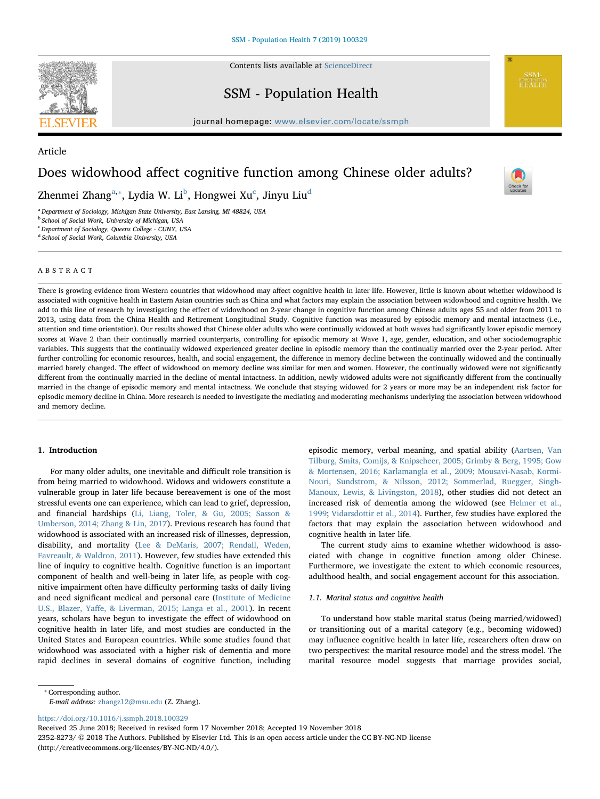

Contents lists available at [ScienceDirect](http://www.sciencedirect.com/science/journal/23528273)

### SSM - Population Health

journal homepage: [www.elsevier.com/locate/ssmph](https://www.elsevier.com/locate/ssmph)



Article

## Does widowhood affect cognitive function among Chinese older adults?

Zhenmei Zhang $^{\mathrm{a},*}$ , Ly[d](#page-1-4)ia W. Li $^{\mathrm{b}}$  $^{\mathrm{b}}$  $^{\mathrm{b}}$ , Hongwei Xu $^{\mathrm{c}}$  $^{\mathrm{c}}$  $^{\mathrm{c}}$ , Jinyu Liu $^{\mathrm{d}}$ 

<span id="page-1-0"></span><sup>a</sup> Department of Sociology, Michigan State University, East Lansing, MI 48824, USA

<span id="page-1-2"></span>**b** School of Social Work, University of Michigan, USA

<span id="page-1-3"></span><sup>2</sup> Department of Sociology, Queens College - CUNY, USA

<span id="page-1-4"></span><sup>d</sup> School of Social Work, Columbia University, USA

### ABSTRACT

There is growing evidence from Western countries that widowhood may affect cognitive health in later life. However, little is known about whether widowhood is associated with cognitive health in Eastern Asian countries such as China and what factors may explain the association between widowhood and cognitive health. We add to this line of research by investigating the effect of widowhood on 2-year change in cognitive function among Chinese adults ages 55 and older from 2011 to 2013, using data from the China Health and Retirement Longitudinal Study. Cognitive function was measured by episodic memory and mental intactness (i.e., attention and time orientation). Our results showed that Chinese older adults who were continually widowed at both waves had significantly lower episodic memory scores at Wave 2 than their continually married counterparts, controlling for episodic memory at Wave 1, age, gender, education, and other sociodemographic variables. This suggests that the continually widowed experienced greater decline in episodic memory than the continually married over the 2-year period. After further controlling for economic resources, health, and social engagement, the difference in memory decline between the continually widowed and the continually married barely changed. The effect of widowhood on memory decline was similar for men and women. However, the continually widowed were not significantly different from the continually married in the decline of mental intactness. In addition, newly widowed adults were not significantly different from the continually married in the change of episodic memory and mental intactness. We conclude that staying widowed for 2 years or more may be an independent risk factor for episodic memory decline in China. More research is needed to investigate the mediating and moderating mechanisms underlying the association between widowhood and memory decline.

#### 1. Introduction

For many older adults, one inevitable and difficult role transition is from being married to widowhood. Widows and widowers constitute a vulnerable group in later life because bereavement is one of the most stressful events one can experience, which can lead to grief, depression, and financial hardships ([Li, Liang, Toler, & Gu, 2005; Sasson &](#page-6-0) [Umberson, 2014; Zhang & Lin, 2017\)](#page-6-0). Previous research has found that widowhood is associated with an increased risk of illnesses, depression, disability, and mortality [\(Lee & DeMaris, 2007; Rendall, Weden,](#page-6-1) [Favreault, & Waldron, 2011](#page-6-1)). However, few studies have extended this line of inquiry to cognitive health. Cognitive function is an important component of health and well-being in later life, as people with cognitive impairment often have difficulty performing tasks of daily living and need significant medical and personal care ([Institute of Medicine](#page-6-2) U.S., Blazer, Yaff[e, & Liverman, 2015; Langa et al., 2001\)](#page-6-2). In recent years, scholars have begun to investigate the effect of widowhood on cognitive health in later life, and most studies are conducted in the United States and European countries. While some studies found that widowhood was associated with a higher risk of dementia and more rapid declines in several domains of cognitive function, including episodic memory, verbal meaning, and spatial ability ([Aartsen, Van](#page-6-3) [Tilburg, Smits, Comijs, & Knipscheer, 2005; Grimby & Berg, 1995; Gow](#page-6-3) [& Mortensen, 2016; Karlamangla et al., 2009; Mousavi-Nasab, Kormi-](#page-6-3)[Nouri, Sundstrom, & Nilsson, 2012; Sommerlad, Ruegger, Singh-](#page-6-3)[Manoux, Lewis, & Livingston, 2018\)](#page-6-3), other studies did not detect an increased risk of dementia among the widowed (see [Helmer et al.,](#page-6-4) [1999;](#page-6-4) [Vidarsdottir et al., 2014](#page-6-5)). Further, few studies have explored the factors that may explain the association between widowhood and cognitive health in later life.

The current study aims to examine whether widowhood is associated with change in cognitive function among older Chinese. Furthermore, we investigate the extent to which economic resources, adulthood health, and social engagement account for this association.

#### 1.1. Marital status and cognitive health

To understand how stable marital status (being married/widowed) or transitioning out of a marital category (e.g., becoming widowed) may influence cognitive health in later life, researchers often draw on two perspectives: the marital resource model and the stress model. The marital resource model suggests that marriage provides social,

<span id="page-1-1"></span>⁎ Corresponding author.

E-mail address: [zhangz12@msu.edu](mailto:zhangz12@msu.edu) (Z. Zhang).

<https://doi.org/10.1016/j.ssmph.2018.100329>

Received 25 June 2018; Received in revised form 17 November 2018; Accepted 19 November 2018 2352-8273/ © 2018 The Authors. Published by Elsevier Ltd. This is an open access article under the CC BY-NC-ND license (http://creativecommons.org/licenses/BY-NC-ND/4.0/).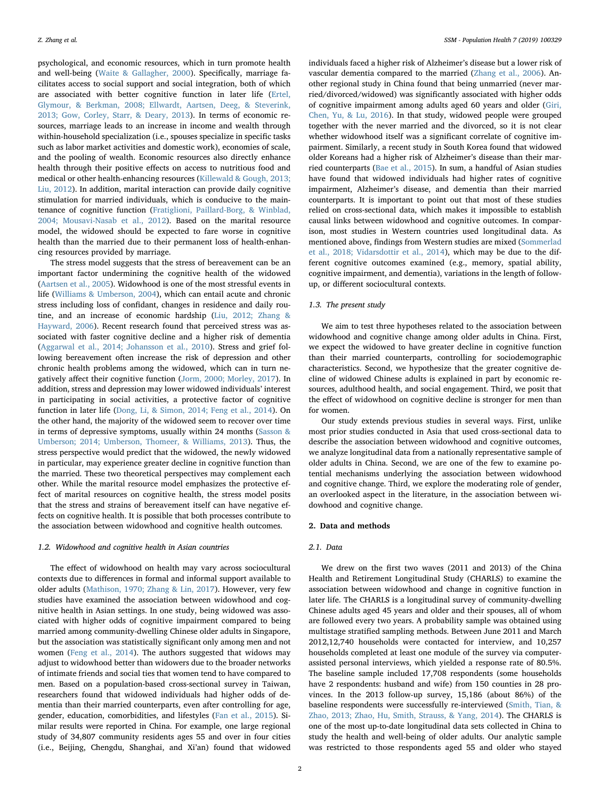psychological, and economic resources, which in turn promote health and well-being ([Waite & Gallagher, 2000](#page-6-6)). Specifically, marriage facilitates access to social support and social integration, both of which are associated with better cognitive function in later life ([Ertel,](#page-6-7) [Glymour, & Berkman, 2008; Ellwardt, Aartsen, Deeg, & Steverink,](#page-6-7) [2013; Gow, Corley, Starr, & Deary, 2013\)](#page-6-7). In terms of economic resources, marriage leads to an increase in income and wealth through within-household specialization (i.e., spouses specialize in specific tasks such as labor market activities and domestic work), economies of scale, and the pooling of wealth. Economic resources also directly enhance health through their positive effects on access to nutritious food and medical or other health-enhancing resources [\(Killewald & Gough, 2013;](#page-6-8) [Liu, 2012](#page-6-8)). In addition, marital interaction can provide daily cognitive stimulation for married individuals, which is conducive to the maintenance of cognitive function ([Fratiglioni, Paillard-Borg, & Winblad,](#page-6-9) [2004; Mousavi-Nasab et al., 2012](#page-6-9)). Based on the marital resource model, the widowed should be expected to fare worse in cognitive health than the married due to their permanent loss of health-enhancing resources provided by marriage.

The stress model suggests that the stress of bereavement can be an important factor undermining the cognitive health of the widowed ([Aartsen et al., 2005](#page-6-3)). Widowhood is one of the most stressful events in life ([Williams & Umberson, 2004](#page-6-10)), which can entail acute and chronic stress including loss of confidant, changes in residence and daily routine, and an increase of economic hardship ([Liu, 2012; Zhang &](#page-6-11) [Hayward, 2006](#page-6-11)). Recent research found that perceived stress was associated with faster cognitive decline and a higher risk of dementia ([Aggarwal et al., 2014; Johansson et al., 2010](#page-6-12)). Stress and grief following bereavement often increase the risk of depression and other chronic health problems among the widowed, which can in turn negatively affect their cognitive function [\(Jorm, 2000; Morley, 2017\)](#page-6-13). In addition, stress and depression may lower widowed individuals' interest in participating in social activities, a protective factor of cognitive function in later life ([Dong, Li, & Simon, 2014; Feng et al., 2014](#page-6-14)). On the other hand, the majority of the widowed seem to recover over time in terms of depressive symptoms, usually within 24 months ([Sasson &](#page-6-15) [Umberson; 2014; Umberson, Thomeer, & Williams, 2013\)](#page-6-15). Thus, the stress perspective would predict that the widowed, the newly widowed in particular, may experience greater decline in cognitive function than the married. These two theoretical perspectives may complement each other. While the marital resource model emphasizes the protective effect of marital resources on cognitive health, the stress model posits that the stress and strains of bereavement itself can have negative effects on cognitive health. It is possible that both processes contribute to the association between widowhood and cognitive health outcomes.

#### 1.2. Widowhood and cognitive health in Asian countries

The effect of widowhood on health may vary across sociocultural contexts due to differences in formal and informal support available to older adults ([Mathison, 1970; Zhang & Lin, 2017](#page-6-16)). However, very few studies have examined the association between widowhood and cognitive health in Asian settings. In one study, being widowed was associated with higher odds of cognitive impairment compared to being married among community-dwelling Chinese older adults in Singapore, but the association was statistically significant only among men and not women ([Feng et al., 2014\)](#page-6-17). The authors suggested that widows may adjust to widowhood better than widowers due to the broader networks of intimate friends and social ties that women tend to have compared to men. Based on a population-based cross-sectional survey in Taiwan, researchers found that widowed individuals had higher odds of dementia than their married counterparts, even after controlling for age, gender, education, comorbidities, and lifestyles ([Fan et al., 2015](#page-6-18)). Similar results were reported in China. For example, one large regional study of 34,807 community residents ages 55 and over in four cities (i.e., Beijing, Chengdu, Shanghai, and Xi'an) found that widowed individuals faced a higher risk of Alzheimer's disease but a lower risk of vascular dementia compared to the married ([Zhang et al., 2006\)](#page-6-19). Another regional study in China found that being unmarried (never married/divorced/widowed) was significantly associated with higher odds of cognitive impairment among adults aged 60 years and older ([Giri,](#page-6-20) [Chen, Yu, & Lu, 2016\)](#page-6-20). In that study, widowed people were grouped together with the never married and the divorced, so it is not clear whether widowhood itself was a significant correlate of cognitive impairment. Similarly, a recent study in South Korea found that widowed older Koreans had a higher risk of Alzheimer's disease than their married counterparts ([Bae et al., 2015\)](#page-6-21). In sum, a handful of Asian studies have found that widowed individuals had higher rates of cognitive impairment, Alzheimer's disease, and dementia than their married counterparts. It is important to point out that most of these studies relied on cross-sectional data, which makes it impossible to establish causal links between widowhood and cognitive outcomes. In comparison, most studies in Western countries used longitudinal data. As mentioned above, findings from Western studies are mixed ([Sommerlad](#page-6-22) [et al., 2018; Vidarsdottir et al., 2014\)](#page-6-22), which may be due to the different cognitive outcomes examined (e.g., memory, spatial ability, cognitive impairment, and dementia), variations in the length of followup, or different sociocultural contexts.

#### 1.3. The present study

We aim to test three hypotheses related to the association between widowhood and cognitive change among older adults in China. First, we expect the widowed to have greater decline in cognitive function than their married counterparts, controlling for sociodemographic characteristics. Second, we hypothesize that the greater cognitive decline of widowed Chinese adults is explained in part by economic resources, adulthood health, and social engagement. Third, we posit that the effect of widowhood on cognitive decline is stronger for men than for women.

Our study extends previous studies in several ways. First, unlike most prior studies conducted in Asia that used cross-sectional data to describe the association between widowhood and cognitive outcomes, we analyze longitudinal data from a nationally representative sample of older adults in China. Second, we are one of the few to examine potential mechanisms underlying the association between widowhood and cognitive change. Third, we explore the moderating role of gender, an overlooked aspect in the literature, in the association between widowhood and cognitive change.

#### 2. Data and methods

#### 2.1. Data

We drew on the first two waves (2011 and 2013) of the China Health and Retirement Longitudinal Study (CHARLS) to examine the association between widowhood and change in cognitive function in later life. The CHARLS is a longitudinal survey of community-dwelling Chinese adults aged 45 years and older and their spouses, all of whom are followed every two years. A probability sample was obtained using multistage stratified sampling methods. Between June 2011 and March 2012,12,740 households were contacted for interview, and 10,257 households completed at least one module of the survey via computerassisted personal interviews, which yielded a response rate of 80.5%. The baseline sample included 17,708 respondents (some households have 2 respondents: husband and wife) from 150 counties in 28 provinces. In the 2013 follow-up survey, 15,186 (about 86%) of the baseline respondents were successfully re-interviewed [\(Smith, Tian, &](#page-6-23) [Zhao, 2013; Zhao, Hu, Smith, Strauss, & Yang, 2014](#page-6-23)). The CHARLS is one of the most up-to-date longitudinal data sets collected in China to study the health and well-being of older adults. Our analytic sample was restricted to those respondents aged 55 and older who stayed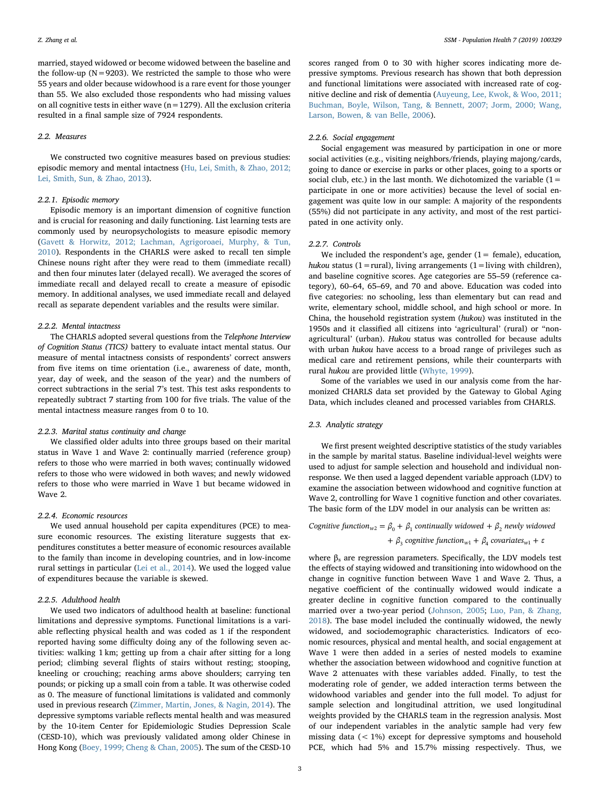Z. Zhang et al. *SSM - Population Health 7 (2019) 100329*

married, stayed widowed or become widowed between the baseline and the follow-up ( $N = 9203$ ). We restricted the sample to those who were 55 years and older because widowhood is a rare event for those younger than 55. We also excluded those respondents who had missing values on all cognitive tests in either wave ( $n=1279$ ). All the exclusion criteria resulted in a final sample size of 7924 respondents.

#### 2.2. Measures

We constructed two cognitive measures based on previous studies: episodic memory and mental intactness ([Hu, Lei, Smith, & Zhao, 2012;](#page-6-24) [Lei, Smith, Sun, & Zhao, 2013](#page-6-24)).

#### 2.2.1. Episodic memory

Episodic memory is an important dimension of cognitive function and is crucial for reasoning and daily functioning. List learning tests are commonly used by neuropsychologists to measure episodic memory ([Gavett & Horwitz, 2012; Lachman, Agrigoroaei, Murphy, & Tun,](#page-6-25) [2010\)](#page-6-25). Respondents in the CHARLS were asked to recall ten simple Chinese nouns right after they were read to them (immediate recall) and then four minutes later (delayed recall). We averaged the scores of immediate recall and delayed recall to create a measure of episodic memory. In additional analyses, we used immediate recall and delayed recall as separate dependent variables and the results were similar.

#### 2.2.2. Mental intactness

The CHARLS adopted several questions from the Telephone Interview of Cognition Status (TICS) battery to evaluate intact mental status. Our measure of mental intactness consists of respondents' correct answers from five items on time orientation (i.e., awareness of date, month, year, day of week, and the season of the year) and the numbers of correct subtractions in the serial 7's test. This test asks respondents to repeatedly subtract 7 starting from 100 for five trials. The value of the mental intactness measure ranges from 0 to 10.

#### 2.2.3. Marital status continuity and change

We classified older adults into three groups based on their marital status in Wave 1 and Wave 2: continually married (reference group) refers to those who were married in both waves; continually widowed refers to those who were widowed in both waves; and newly widowed refers to those who were married in Wave 1 but became widowed in Wave 2.

#### 2.2.4. Economic resources

We used annual household per capita expenditures (PCE) to measure economic resources. The existing literature suggests that expenditures constitutes a better measure of economic resources available to the family than income in developing countries, and in low-income rural settings in particular [\(Lei et al., 2014\)](#page-6-26). We used the logged value of expenditures because the variable is skewed.

### 2.2.5. Adulthood health

We used two indicators of adulthood health at baseline: functional limitations and depressive symptoms. Functional limitations is a variable reflecting physical health and was coded as 1 if the respondent reported having some difficulty doing any of the following seven activities: walking 1 km; getting up from a chair after sitting for a long period; climbing several flights of stairs without resting; stooping, kneeling or crouching; reaching arms above shoulders; carrying ten pounds; or picking up a small coin from a table. It was otherwise coded as 0. The measure of functional limitations is validated and commonly used in previous research [\(Zimmer, Martin, Jones, & Nagin, 2014\)](#page-6-27). The depressive symptoms variable reflects mental health and was measured by the 10-item Center for Epidemiologic Studies Depression Scale (CESD-10), which was previously validated among older Chinese in Hong Kong ([Boey, 1999; Cheng & Chan, 2005](#page-6-28)). The sum of the CESD-10

scores ranged from 0 to 30 with higher scores indicating more depressive symptoms. Previous research has shown that both depression and functional limitations were associated with increased rate of cognitive decline and risk of dementia [\(Auyeung, Lee, Kwok, & Woo, 2011;](#page-6-29) [Buchman, Boyle, Wilson, Tang, & Bennett, 2007; Jorm, 2000; Wang,](#page-6-29) [Larson, Bowen, & van Belle, 2006\)](#page-6-29).

#### 2.2.6. Social engagement

Social engagement was measured by participation in one or more social activities (e.g., visiting neighbors/friends, playing majong/cards, going to dance or exercise in parks or other places, going to a sports or social club, etc.) in the last month. We dichotomized the variable  $(1=$ participate in one or more activities) because the level of social engagement was quite low in our sample: A majority of the respondents (55%) did not participate in any activity, and most of the rest participated in one activity only.

#### 2.2.7. Controls

We included the respondent's age, gender  $(1 =$  female), education, hukou status (1 = rural), living arrangements (1 = living with children), and baseline cognitive scores. Age categories are 55–59 (reference category), 60–64, 65–69, and 70 and above. Education was coded into five categories: no schooling, less than elementary but can read and write, elementary school, middle school, and high school or more. In China, the household registration system (hukou) was instituted in the 1950s and it classified all citizens into 'agricultural' (rural) or "nonagricultural' (urban). Hukou status was controlled for because adults with urban hukou have access to a broad range of privileges such as medical care and retirement pensions, while their counterparts with rural hukou are provided little ([Whyte, 1999](#page-6-30)).

Some of the variables we used in our analysis come from the harmonized CHARLS data set provided by the Gateway to Global Aging Data, which includes cleaned and processed variables from CHARLS.

#### 2.3. Analytic strategy

We first present weighted descriptive statistics of the study variables in the sample by marital status. Baseline individual-level weights were used to adjust for sample selection and household and individual nonresponse. We then used a lagged dependent variable approach (LDV) to examine the association between widowhood and cognitive function at Wave 2, controlling for Wave 1 cognitive function and other covariates. The basic form of the LDV model in our analysis can be written as:

#### *Cognitive function*<sub>*w*2</sub> =  $\beta_0 + \beta_1$  continually widowed +  $\beta_2$  newly widowed

+ 
$$
\beta_3
$$
 cognitive function<sub>w1</sub> +  $\beta_4$  covariates<sub>w1</sub> +  $\varepsilon$ 

where  $\beta_s$  are regression parameters. Specifically, the LDV models test the effects of staying widowed and transitioning into widowhood on the change in cognitive function between Wave 1 and Wave 2. Thus, a negative coefficient of the continually widowed would indicate a greater decline in cognitive function compared to the continually married over a two-year period [\(Johnson, 2005](#page-6-31); [Luo, Pan, & Zhang,](#page-6-32) [2018\)](#page-6-32). The base model included the continually widowed, the newly widowed, and sociodemographic characteristics. Indicators of economic resources, physical and mental health, and social engagement at Wave 1 were then added in a series of nested models to examine whether the association between widowhood and cognitive function at Wave 2 attenuates with these variables added. Finally, to test the moderating role of gender, we added interaction terms between the widowhood variables and gender into the full model. To adjust for sample selection and longitudinal attrition, we used longitudinal weights provided by the CHARLS team in the regression analysis. Most of our independent variables in the analytic sample had very few missing data (< 1%) except for depressive symptoms and household PCE, which had 5% and 15.7% missing respectively. Thus, we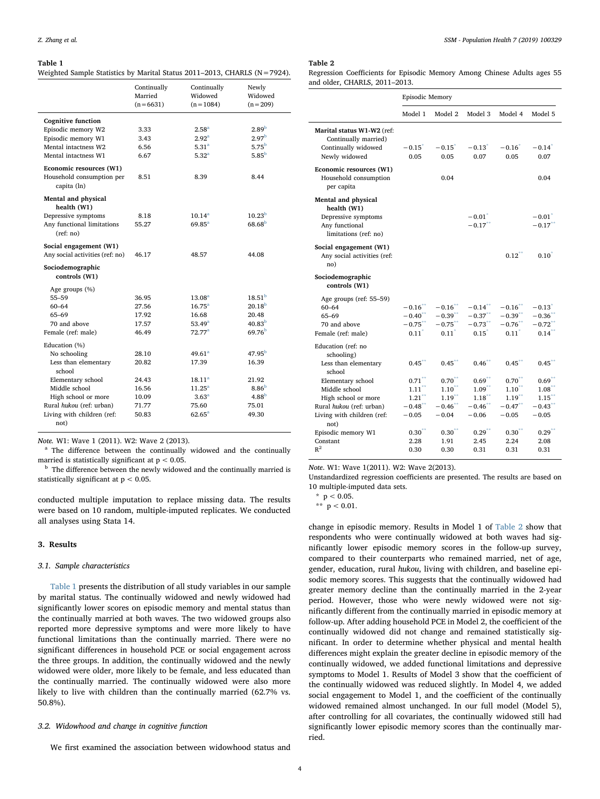#### <span id="page-4-0"></span>Table 1

Weighted Sample Statistics by Marital Status 2011–2013, CHARLS (N=7924).

|                                          | Continually | Continually        | Newly              |
|------------------------------------------|-------------|--------------------|--------------------|
|                                          | Married     | Widowed            | Widowed            |
|                                          | $(n=6631)$  | $(n = 1084)$       | $(n = 209)$        |
| <b>Cognitive function</b>                |             |                    |                    |
| Episodic memory W2                       | 3.33        | 2.58 <sup>a</sup>  | 2.89 <sup>b</sup>  |
| Episodic memory W1                       | 3.43        | $2.92^{\rm a}$     | 2.97 <sup>b</sup>  |
| Mental intactness W2                     | 6.56        | 5.31 <sup>a</sup>  | 5.75 <sup>b</sup>  |
| Mental intactness W1                     | 6.67        | 5.32 <sup>a</sup>  | 5.85 <sup>b</sup>  |
| Economic resources (W1)                  |             |                    |                    |
| Household consumption per<br>capita (ln) | 8.51        | 8.39               | 8.44               |
| Mental and physical<br>health (W1)       |             |                    |                    |
| Depressive symptoms                      | 8.18        | $10.14^{a}$        | 10.23 <sup>b</sup> |
| Any functional limitations               | 55.27       | $69.85^{a}$        | 68.68 <sup>b</sup> |
| (ref:no)                                 |             |                    |                    |
| Social engagement (W1)                   |             |                    |                    |
| Any social activities (ref: no)          | 46.17       | 48.57              | 44.08              |
| Sociodemographic<br>controls (W1)        |             |                    |                    |
| Age groups (%)                           |             |                    |                    |
| 55-59                                    | 36.95       | 13.08 <sup>a</sup> | 18.51 <sup>b</sup> |
| $60 - 64$                                | 27.56       | 16.75 <sup>a</sup> | 20.18 <sup>b</sup> |
| 65-69                                    | 17.92       | 16.68              | 20.48              |
| 70 and above                             | 17.57       | 53.49 $a$          | 40.83 <sup>b</sup> |
| Female (ref: male)                       | 46.49       | $72.77^{\rm a}$    | 69.76 <sup>b</sup> |
| Education (%)                            |             |                    |                    |
| No schooling                             | 28.10       | 49.61 <sup>a</sup> | 47.95 <sup>b</sup> |
| Less than elementary                     | 20.82       | 17.39              | 16.39              |
| school                                   |             |                    |                    |
| Elementary school                        | 24.43       | 18.11 <sup>a</sup> | 21.92              |
| Middle school                            | 16.56       | $11.25^{\circ}$    | 8.86 <sup>b</sup>  |
| High school or more                      | 10.09       | $3.63^{\circ}$     | 4.88 <sup>b</sup>  |
| Rural hukou (ref: urban)                 | 71.77       | 75.60              | 75.01              |
| Living with children (ref:               | 50.83       | $62.65^{a}$        | 49.30              |
| not)                                     |             |                    |                    |

Note. W1: Wave 1 (2011). W2: Wave 2 (2013).

<span id="page-4-2"></span><sup>a</sup> The difference between the continually widowed and the continually married is statistically significant at  $p < 0.05$ .

<span id="page-4-3"></span><sup>b</sup> The difference between the newly widowed and the continually married is statistically significant at  $p < 0.05$ .

conducted multiple imputation to replace missing data. The results were based on 10 random, multiple-imputed replicates. We conducted all analyses using Stata 14.

#### 3. Results

#### 3.1. Sample characteristics

[Table 1](#page-4-0) presents the distribution of all study variables in our sample by marital status. The continually widowed and newly widowed had significantly lower scores on episodic memory and mental status than the continually married at both waves. The two widowed groups also reported more depressive symptoms and were more likely to have functional limitations than the continually married. There were no significant differences in household PCE or social engagement across the three groups. In addition, the continually widowed and the newly widowed were older, more likely to be female, and less educated than the continually married. The continually widowed were also more likely to live with children than the continually married (62.7% vs. 50.8%).

#### 3.2. Widowhood and change in cognitive function

We first examined the association between widowhood status and

#### <span id="page-4-1"></span>Table 2

Regression Coefficients for Episodic Memory Among Chinese Adults ages 55 and older, CHARLS, 2011–2013.

|                                                                                                      | Episodic Memory                                            |                                                            |                                                                |                                                                        |                                                                  |  |
|------------------------------------------------------------------------------------------------------|------------------------------------------------------------|------------------------------------------------------------|----------------------------------------------------------------|------------------------------------------------------------------------|------------------------------------------------------------------|--|
|                                                                                                      | Model 1                                                    | Model 2                                                    | Model 3                                                        | Model 4                                                                | Model 5                                                          |  |
| Marital status W1-W2 (ref:<br>Continually married)<br>Continually widowed                            | $-0.15^{n}$                                                | $-0.15^{*}$                                                | $-0.13$ <sup>*</sup>                                           | $-0.16^{r}$                                                            | $-0.14$ <sup>*</sup>                                             |  |
| Newly widowed                                                                                        | 0.05                                                       | 0.05                                                       | 0.07                                                           | 0.05                                                                   | 0.07                                                             |  |
| Economic resources (W1)<br>Household consumption<br>per capita                                       |                                                            | 0.04                                                       |                                                                |                                                                        | 0.04                                                             |  |
| Mental and physical<br>health (W1)<br>Depressive symptoms<br>Any functional<br>limitations (ref: no) |                                                            |                                                            | $-0.01$<br>$-0.17$ <sup>*</sup>                                |                                                                        | $-0.01$<br>$-0.17$ <sup>*</sup>                                  |  |
| Social engagement (W1)<br>Any social activities (ref:<br>no)                                         |                                                            |                                                            |                                                                | $0.12***$                                                              | $0.10^{11}$                                                      |  |
| Sociodemographic<br>controls (W1)                                                                    |                                                            |                                                            |                                                                |                                                                        |                                                                  |  |
| Age groups (ref: 55-59)<br>$60 - 64$<br>65-69<br>70 and above<br>Female (ref: male)                  | $-0.16$<br>$-0.40$ <sup>**</sup><br>$-0.75$ **<br>$0.11^*$ | $-0.16$<br>$-0.39$ **<br>$-0.75***$<br>$0.11$ <sup>*</sup> | $-0.14$ <sup>-</sup><br>$-0.37$ **<br>$-0.73$ **<br>$0.15^{*}$ | $-0.16$ <sup>*</sup><br>$-0.39$ <sup>**</sup><br>$-0.76$ **<br>$0.11*$ | $-0.13$<br>$-0.36$ <sup>*</sup><br>$-0.72$ <sup>**</sup><br>0.14 |  |
| Education (ref: no                                                                                   |                                                            |                                                            |                                                                |                                                                        |                                                                  |  |
| schooling)<br>Less than elementary<br>school                                                         | $0.45$ **                                                  | $0.45$ **                                                  | 0.46                                                           | $0.45$ **                                                              | $0.45$ **                                                        |  |
| Elementary school                                                                                    | $0.71$ <sup>**</sup>                                       | $0.70^{*}$                                                 | 0.69                                                           | $0.70^{*}$                                                             | 0.69                                                             |  |
| Middle school                                                                                        | $1.11$ <sup>**</sup>                                       | $1.10^{**}$                                                | $1.09$ **                                                      | $1.10^{**}$                                                            | $1.08^{\circ}$                                                   |  |
| High school or more                                                                                  | $1.21$ **                                                  | $1.19***$                                                  | 1.18                                                           | $1.19***$                                                              | $1.15$ **                                                        |  |
| Rural hukou (ref: urban)                                                                             | $-0.48$ **                                                 | $-0.46$ **                                                 | $-0.46$                                                        | $-0.47$ **                                                             | $-0.43$                                                          |  |
| Living with children (ref:                                                                           | $-0.05$                                                    | $-0.04$                                                    | $-0.06$                                                        | $-0.05$                                                                | $-0.05$                                                          |  |
| not)                                                                                                 |                                                            |                                                            |                                                                |                                                                        |                                                                  |  |
| Episodic memory W1                                                                                   | 0.30                                                       | $0.30$ **                                                  | 0.29                                                           | 0.30                                                                   | 0.29                                                             |  |
| Constant                                                                                             | 2.28                                                       | 1.91                                                       | 2.45                                                           | 2.24                                                                   | 2.08                                                             |  |
| $R^2$                                                                                                | 0.30                                                       | 0.30                                                       | 0.31                                                           | 0.31                                                                   | 0.31                                                             |  |

Note. W1: Wave 1(2011). W2: Wave 2(2013).

Unstandardized regression coefficients are presented. The results are based on 10 multiple-imputed data sets.

<span id="page-4-5"></span>\*\*  $p < 0.01$ .

change in episodic memory. Results in Model 1 of [Table 2](#page-4-1) show that respondents who were continually widowed at both waves had significantly lower episodic memory scores in the follow-up survey, compared to their counterparts who remained married, net of age, gender, education, rural hukou, living with children, and baseline episodic memory scores. This suggests that the continually widowed had greater memory decline than the continually married in the 2-year period. However, those who were newly widowed were not significantly different from the continually married in episodic memory at follow-up. After adding household PCE in Model 2, the coefficient of the continually widowed did not change and remained statistically significant. In order to determine whether physical and mental health differences might explain the greater decline in episodic memory of the continually widowed, we added functional limitations and depressive symptoms to Model 1. Results of Model 3 show that the coefficient of the continually widowed was reduced slightly. In Model 4, we added social engagement to Model 1, and the coefficient of the continually widowed remained almost unchanged. In our full model (Model 5), after controlling for all covariates, the continually widowed still had significantly lower episodic memory scores than the continually married.

<span id="page-4-4"></span> $*$  p < 0.05.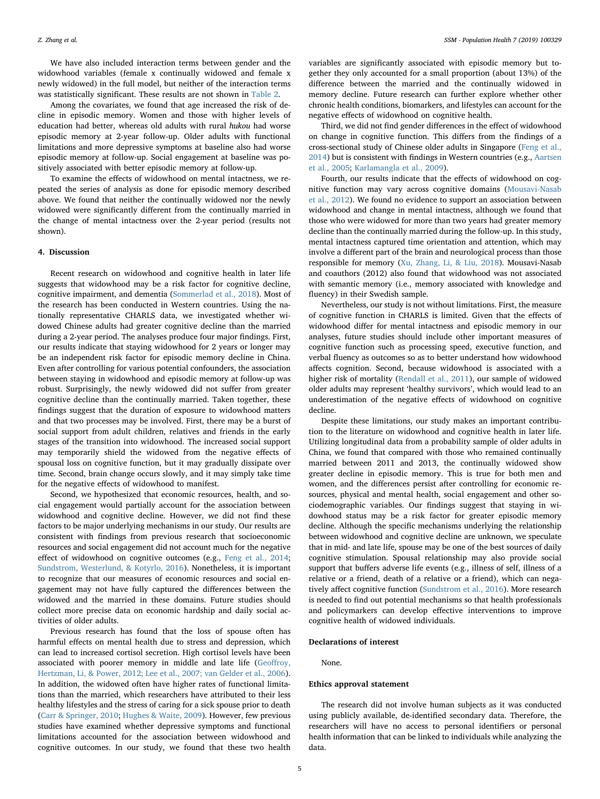We have also included interaction terms between gender and the widowhood variables (female x continually widowed and female x newly widowed) in the full model, but neither of the interaction terms was statistically significant. These results are not shown in [Table 2](#page-4-1).

Among the covariates, we found that age increased the risk of decline in episodic memory. Women and those with higher levels of education had better, whereas old adults with rural hukou had worse episodic memory at 2-year follow-up. Older adults with functional limitations and more depressive symptoms at baseline also had worse episodic memory at follow-up. Social engagement at baseline was positively associated with better episodic memory at follow-up.

To examine the effects of widowhood on mental intactness, we repeated the series of analysis as done for episodic memory described above. We found that neither the continually widowed nor the newly widowed were significantly different from the continually married in the change of mental intactness over the 2-year period (results not shown).

#### 4. Discussion

Recent research on widowhood and cognitive health in later life suggests that widowhood may be a risk factor for cognitive decline, cognitive impairment, and dementia ([Sommerlad et al., 2018](#page-6-22)). Most of the research has been conducted in Western countries. Using the nationally representative CHARLS data, we investigated whether widowed Chinese adults had greater cognitive decline than the married during a 2-year period. The analyses produce four major findings. First, our results indicate that staying widowhood for 2 years or longer may be an independent risk factor for episodic memory decline in China. Even after controlling for various potential confounders, the association between staying in widowhood and episodic memory at follow-up was robust. Surprisingly, the newly widowed did not suffer from greater cognitive decline than the continually married. Taken together, these findings suggest that the duration of exposure to widowhood matters and that two processes may be involved. First, there may be a burst of social support from adult children, relatives and friends in the early stages of the transition into widowhood. The increased social support may temporarily shield the widowed from the negative effects of spousal loss on cognitive function, but it may gradually dissipate over time. Second, brain change occurs slowly, and it may simply take time for the negative effects of widowhood to manifest.

Second, we hypothesized that economic resources, health, and social engagement would partially account for the association between widowhood and cognitive decline. However, we did not find these factors to be major underlying mechanisms in our study. Our results are consistent with findings from previous research that socioeconomic resources and social engagement did not account much for the negative effect of widowhood on cognitive outcomes (e.g., [Feng et al., 2014](#page-6-17); [Sundstrom, Westerlund, & Kotyrlo, 2016](#page-6-33)). Nonetheless, it is important to recognize that our measures of economic resources and social engagement may not have fully captured the differences between the widowed and the married in these domains. Future studies should collect more precise data on economic hardship and daily social activities of older adults.

Previous research has found that the loss of spouse often has harmful effects on mental health due to stress and depression, which can lead to increased cortisol secretion. High cortisol levels have been associated with poorer memory in middle and late life (Geoff[roy,](#page-6-34) [Hertzman, Li, & Power, 2012; Lee et al., 2007; van Gelder et al., 2006](#page-6-34)). In addition, the widowed often have higher rates of functional limitations than the married, which researchers have attributed to their less healthy lifestyles and the stress of caring for a sick spouse prior to death ([Carr & Springer, 2010;](#page-6-35) Hughes [& Waite, 2009\)](#page-6-36). However, few previous studies have examined whether depressive symptoms and functional limitations accounted for the association between widowhood and cognitive outcomes. In our study, we found that these two health

variables are significantly associated with episodic memory but together they only accounted for a small proportion (about 13%) of the difference between the married and the continually widowed in memory decline. Future research can further explore whether other chronic health conditions, biomarkers, and lifestyles can account for the negative effects of widowhood on cognitive health.

Third, we did not find gender differences in the effect of widowhood on change in cognitive function. This differs from the findings of a cross-sectional study of Chinese older adults in Singapore ([Feng et al.,](#page-6-17) [2014\)](#page-6-17) but is consistent with findings in Western countries (e.g., [Aartsen](#page-6-3) [et al., 2005](#page-6-3); [Karlamangla et al., 2009](#page-6-37)).

Fourth, our results indicate that the effects of widowhood on cognitive function may vary across cognitive domains ([Mousavi-Nasab](#page-6-38) [et al., 2012](#page-6-38)). We found no evidence to support an association between widowhood and change in mental intactness, although we found that those who were widowed for more than two years had greater memory decline than the continually married during the follow-up. In this study, mental intactness captured time orientation and attention, which may involve a different part of the brain and neurological process than those responsible for memory [\(Xu, Zhang, Li, & Liu, 2018\)](#page-6-39). Mousavi-Nasab and coauthors (2012) also found that widowhood was not associated with semantic memory (i.e., memory associated with knowledge and fluency) in their Swedish sample.

Nevertheless, our study is not without limitations. First, the measure of cognitive function in CHARLS is limited. Given that the effects of widowhood differ for mental intactness and episodic memory in our analyses, future studies should include other important measures of cognitive function such as processing speed, executive function, and verbal fluency as outcomes so as to better understand how widowhood affects cognition. Second, because widowhood is associated with a higher risk of mortality ([Rendall et al., 2011\)](#page-6-40), our sample of widowed older adults may represent 'healthy survivors', which would lead to an underestimation of the negative effects of widowhood on cognitive decline.

Despite these limitations, our study makes an important contribution to the literature on widowhood and cognitive health in later life. Utilizing longitudinal data from a probability sample of older adults in China, we found that compared with those who remained continually married between 2011 and 2013, the continually widowed show greater decline in episodic memory. This is true for both men and women, and the differences persist after controlling for economic resources, physical and mental health, social engagement and other sociodemographic variables. Our findings suggest that staying in widowhood status may be a risk factor for greater episodic memory decline. Although the specific mechanisms underlying the relationship between widowhood and cognitive decline are unknown, we speculate that in mid- and late life, spouse may be one of the best sources of daily cognitive stimulation. Spousal relationship may also provide social support that buffers adverse life events (e.g., illness of self, illness of a relative or a friend, death of a relative or a friend), which can negatively affect cognitive function ([Sundstrom et al., 2016\)](#page-6-33). More research is needed to find out potential mechanisms so that health professionals and policymarkers can develop effective interventions to improve cognitive health of widowed individuals.

#### Declarations of interest

None.

#### Ethics approval statement

The research did not involve human subjects as it was conducted using publicly available, de-identified secondary data. Therefore, the researchers will have no access to personal identifiers or personal health information that can be linked to individuals while analyzing the data.